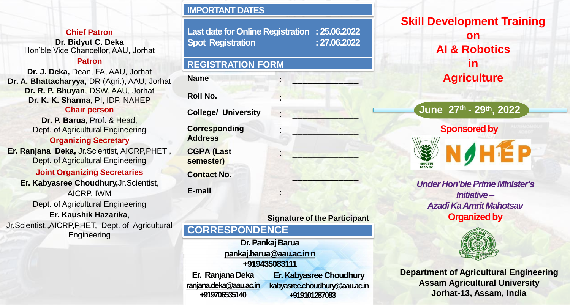**Chief Patron**

**Dr. Bidyut C. Deka** Hon'ble Vice Chancellor, AAU, Jorhat

#### **Patron**

**Dr. J. Deka,** Dean, FA, AAU, Jorhat **Dr. A. Bhattacharyya,** DR (Agri.), AAU, Jorhat **Dr. R. P. Bhuyan**, DSW, AAU, Jorhat **Dr. K. K. Sharma**, PI, IDP, NAHEP

#### **Chair person**

**Dr. P. Barua**, Prof. & Head, Dept. of Agricultural Engineering

**Organizing Secretary**

**Er. Ranjana Deka,** Jr.Scientist, AICRP,PHET , Dept. of Agricultural Engineering

## **Joint Organizing Secretaries**

**Er. Kabyasree Choudhury,**Jr.Scientist, AICRP, IWM Dept. of Agricultural Engineering **Er. Kaushik Hazarika**, Jr.Scientist,,AICRP,PHET, Dept. of Agricultural **Engineering** 

## **IMPORTANT DATES**

**Last date for Online Registration : 25.06.2022 Spot Registration : 27.06.2022**

### **REGISTRATION FORM**

**Name** : <u>*i*</u>

# **Roll No.** : \_\_\_\_\_\_\_\_\_\_\_\_\_

**College/ University Corresponding Address**

**CGPA (Last semester)**

**Contact No.** 

**E-mail** : \_\_\_\_\_\_\_\_\_\_\_\_\_



**June 27th - 29th, 2022**



*Under Hon'ble Prime Minister's Initiative – Azadi Ka Amrit Mahotsav* **Organized by**



**Department of Agricultural Engineering Assam Agricultural University Jorhat-13, Assam, India**

## **Signature of the Participant**

: \_\_\_\_\_\_\_\_\_\_\_\_\_

: \_\_\_\_\_\_\_\_\_\_\_\_\_

# **CORRESPONDENCE**

**Dr. Pankaj Barua [pankaj.barua@aau.ac.in n](mailto:pankaj.barua@aau.ac.in)**

**+919435083111**

**Er. RanjanaDeka [ranjana.deka@aau.ac.in](mailto:ranjana.deka@aau.ac.in) +919706535140 Er. Kabyasree Choudhury [kabyasree.choudhury@aau.ac.in](mailto:kabyasree.choudhury@aau.ac.in)  +919101287083**